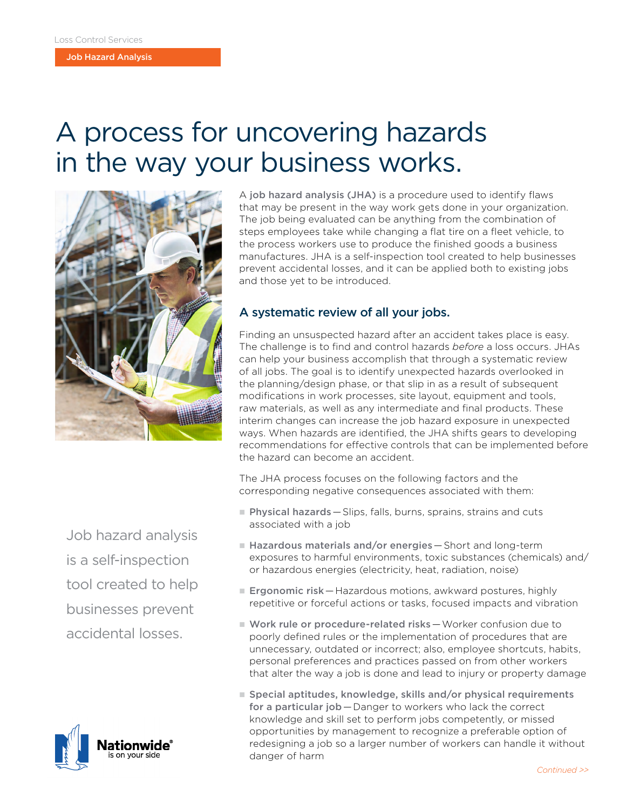Job Hazard Analysis

## A process for uncovering hazards in the way your business works.



A job hazard analysis (JHA) is a procedure used to identify flaws that may be present in the way work gets done in your organization. The job being evaluated can be anything from the combination of steps employees take while changing a flat tire on a fleet vehicle, to the process workers use to produce the finished goods a business manufactures. JHA is a self-inspection tool created to help businesses prevent accidental losses, and it can be applied both to existing jobs and those yet to be introduced.

### A systematic review of all your jobs.

Finding an unsuspected hazard after an accident takes place is easy. The challenge is to find and control hazards *before* a loss occurs. JHAs can help your business accomplish that through a systematic review of all jobs. The goal is to identify unexpected hazards overlooked in the planning/design phase, or that slip in as a result of subsequent modifications in work processes, site layout, equipment and tools, raw materials, as well as any intermediate and final products. These interim changes can increase the job hazard exposure in unexpected ways. When hazards are identified, the JHA shifts gears to developing recommendations for effective controls that can be implemented before the hazard can become an accident.

The JHA process focuses on the following factors and the corresponding negative consequences associated with them:

**Physical hazards** - Slips, falls, burns, sprains, strains and cuts associated with a job

Job hazard analysis is a self-inspection tool created to help businesses prevent accidental losses.



- Hazardous materials and/or energies Short and long-term exposures to harmful environments, toxic substances (chemicals) and/ or hazardous energies (electricity, heat, radiation, noise)
- **Ergonomic risk** Hazardous motions, awkward postures, highly repetitive or forceful actions or tasks, focused impacts and vibration
- **Nork rule or procedure-related risks** Worker confusion due to poorly defined rules or the implementation of procedures that are unnecessary, outdated or incorrect; also, employee shortcuts, habits, personal preferences and practices passed on from other workers that alter the way a job is done and lead to injury or property damage
- Special aptitudes, knowledge, skills and/or physical requirements for a particular job – Danger to workers who lack the correct knowledge and skill set to perform jobs competently, or missed opportunities by management to recognize a preferable option of redesigning a job so a larger number of workers can handle it without danger of harm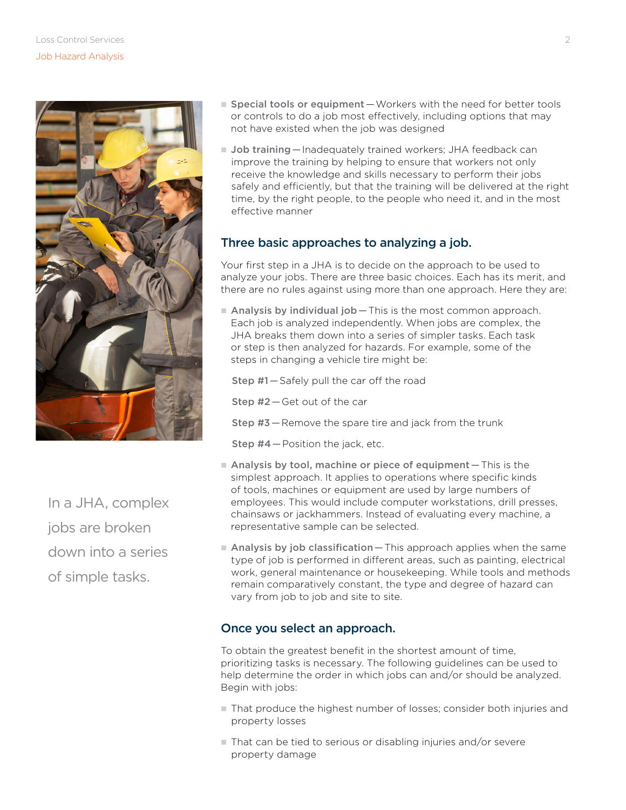

In a JHA, complex jobs are broken down into a series of simple tasks.

- Special tools or equipment Workers with the need for better tools or controls to do a job most effectively, including options that may not have existed when the job was designed
- **Job training** Inadequately trained workers; JHA feedback can improve the training by helping to ensure that workers not only receive the knowledge and skills necessary to perform their jobs safely and efficiently, but that the training will be delivered at the right time, by the right people, to the people who need it, and in the most effective manner

#### Three basic approaches to analyzing a job.

Your first step in a JHA is to decide on the approach to be used to analyze your jobs. There are three basic choices. Each has its merit, and there are no rules against using more than one approach. Here they are:

 $\blacksquare$  Analysis by individual job - This is the most common approach. Each job is analyzed independently. When jobs are complex, the JHA breaks them down into a series of simpler tasks. Each task or step is then analyzed for hazards. For example, some of the steps in changing a vehicle tire might be:

Step #1 — Safely pull the car off the road

Step #2 — Get out of the car

Step #3 — Remove the spare tire and jack from the trunk

Step #4 — Position the jack, etc.

- $\blacksquare$  Analysis by tool, machine or piece of equipment  $-\text{This}$  is the simplest approach. It applies to operations where specific kinds of tools, machines or equipment are used by large numbers of employees. This would include computer workstations, drill presses, chainsaws or jackhammers. Instead of evaluating every machine, a representative sample can be selected.
- $\blacksquare$  Analysis by job classification  $\blacksquare$  This approach applies when the same type of job is performed in different areas, such as painting, electrical work, general maintenance or housekeeping. While tools and methods remain comparatively constant, the type and degree of hazard can vary from job to job and site to site.

#### Once you select an approach.

To obtain the greatest benefit in the shortest amount of time, prioritizing tasks is necessary. The following guidelines can be used to help determine the order in which jobs can and/or should be analyzed. Begin with jobs:

- $\blacksquare$  That produce the highest number of losses; consider both injuries and property losses
- $\blacksquare$  That can be tied to serious or disabling injuries and/or severe property damage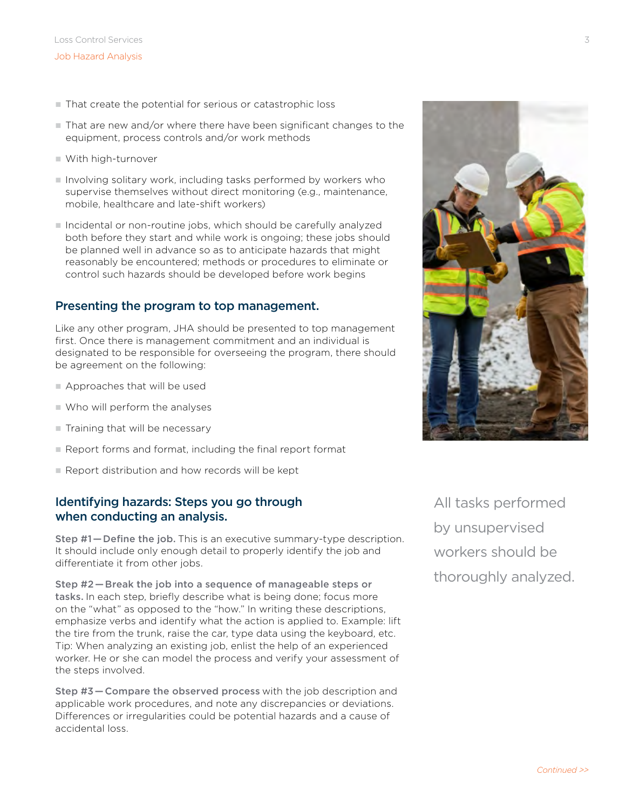- That create the potential for serious or catastrophic loss
- $\blacksquare$  That are new and/or where there have been significant changes to the equipment, process controls and/or work methods
- With high-turnover
- Involving solitary work, including tasks performed by workers who supervise themselves without direct monitoring (e.g., maintenance, mobile, healthcare and late-shift workers)
- n Incidental or non-routine jobs, which should be carefully analyzed both before they start and while work is ongoing; these jobs should be planned well in advance so as to anticipate hazards that might reasonably be encountered; methods or procedures to eliminate or control such hazards should be developed before work begins

#### Presenting the program to top management.

Like any other program, JHA should be presented to top management first. Once there is management commitment and an individual is designated to be responsible for overseeing the program, there should be agreement on the following:

- $\blacksquare$  Approaches that will be used
- $\blacksquare$  Who will perform the analyses
- $\blacksquare$  Training that will be necessary
- Report forms and format, including the final report format
- $\blacksquare$  Report distribution and how records will be kept

#### Identifying hazards: Steps you go through when conducting an analysis.

Step #1—Define the job. This is an executive summary-type description. It should include only enough detail to properly identify the job and differentiate it from other jobs.

Step #2 — Break the job into a sequence of manageable steps or tasks. In each step, briefly describe what is being done; focus more on the "what" as opposed to the "how." In writing these descriptions, emphasize verbs and identify what the action is applied to. Example: lift the tire from the trunk, raise the car, type data using the keyboard, etc. Tip: When analyzing an existing job, enlist the help of an experienced worker. He or she can model the process and verify your assessment of the steps involved.

Step #3 — Compare the observed process with the job description and applicable work procedures, and note any discrepancies or deviations. Differences or irregularities could be potential hazards and a cause of accidental loss.

All tasks performed by unsupervised workers should be thoroughly analyzed.

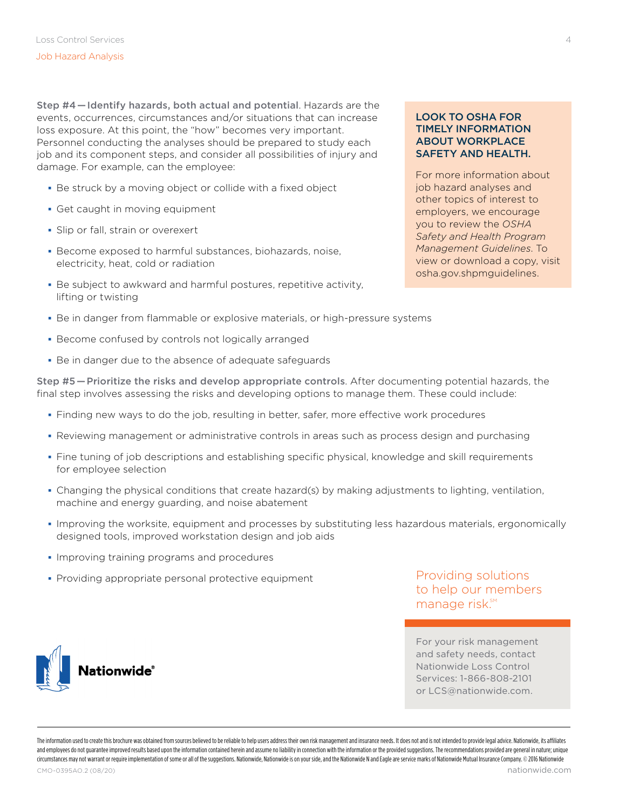Step #4 — Identify hazards, both actual and potential. Hazards are the events, occurrences, circumstances and/or situations that can increase loss exposure. At this point, the "how" becomes very important. Personnel conducting the analyses should be prepared to study each job and its component steps, and consider all possibilities of injury and damage. For example, can the employee:

- Be struck by a moving object or collide with a fixed object
- Get caught in moving equipment
- Slip or fall, strain or overexert
- Become exposed to harmful substances, biohazards, noise, electricity, heat, cold or radiation
- Be subject to awkward and harmful postures, repetitive activity, lifting or twisting

#### LOOK TO OSHA FOR TIMELY INFORMATION ABOUT WORKPLACE SAFETY AND HEALTH.

For more information about job hazard analyses and other topics of interest to employers, we encourage you to review the *OSHA Safety and Health Program Management Guidelines*. To view or download a copy, visit osha.gov.shpmguidelines.

- **Be in danger from flammable or explosive materials, or high-pressure systems**
- Become confused by controls not logically arranged
- Be in danger due to the absence of adequate safeguards

Step #5 — Prioritize the risks and develop appropriate controls. After documenting potential hazards, the final step involves assessing the risks and developing options to manage them. These could include:

- Finding new ways to do the job, resulting in better, safer, more effective work procedures
- Reviewing management or administrative controls in areas such as process design and purchasing
- Fine tuning of job descriptions and establishing specific physical, knowledge and skill requirements for employee selection
- Changing the physical conditions that create hazard(s) by making adjustments to lighting, ventilation, machine and energy guarding, and noise abatement
- Improving the worksite, equipment and processes by substituting less hazardous materials, ergonomically designed tools, improved workstation design and job aids
- **Improving training programs and procedures**

**Jationwide®** 

**Providing appropriate personal protective equipment** 

Providing solutions to help our members manage risk.<sup>SM</sup>

For your risk management and safety needs, contact Nationwide Loss Control Services: 1-866-808-2101 or LCS@nationwide.com.

The information used to create this brochure was obtained from sources believed to be reliable to help users address their own risk management and insurance needs. It does not and is not intended to provide legal advice. N and employees do not quarantee improved results based upon the information contained herein and assume no liability in connection with the information or the provided suggestions. The recommendations provided are general i circumstances may not warrant or require implementation of some or all of the suggestions. Nationwide, Nationwide is on your side, and the Nationwide N and Fagle are service marks of Nationwide Insurance Company, © 2016 Na